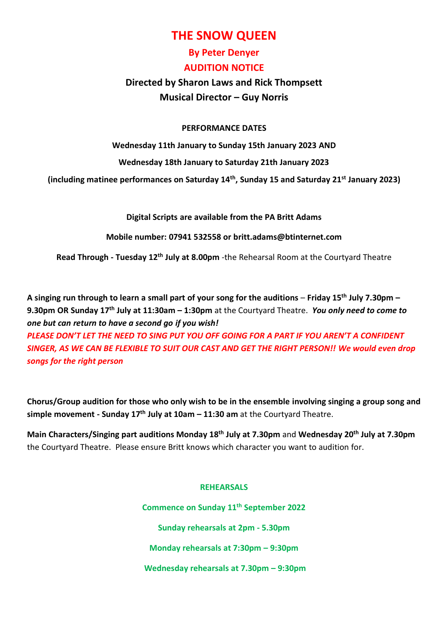# **THE SNOW QUEEN**

## **By Peter Denyer AUDITION NOTICE**

## **Directed by Sharon Laws and Rick Thompsett Musical Director – Guy Norris**

### **PERFORMANCE DATES**

**Wednesday 11th January to Sunday 15th January 2023 AND**

**Wednesday 18th January to Saturday 21th January 2023**

**(including matinee performances on Saturday 14th, Sunday 15 and Saturday 21st January 2023)**

**Digital Scripts are available from the PA Britt Adams**

**Mobile number: 07941 532558 or britt.adams@btinternet.com**

**Read Through - Tuesday 12th July at 8.00pm** -the Rehearsal Room at the Courtyard Theatre

**A singing run through to learn a small part of your song for the auditions** – **Friday 15th July 7.30pm – 9.30pm OR Sunday 17th July at 11:30am – 1:30pm** at the Courtyard Theatre. *You only need to come to one but can return to have a second go if you wish!*

*PLEASE DON'T LET THE NEED TO SING PUT YOU OFF GOING FOR A PART IF YOU AREN'T A CONFIDENT SINGER, AS WE CAN BE FLEXIBLE TO SUIT OUR CAST AND GET THE RIGHT PERSON!! We would even drop songs for the right person*

**Chorus/Group audition for those who only wish to be in the ensemble involving singing a group song and simple movement - Sunday 17th July at 10am – 11:30 am** at the Courtyard Theatre.

**Main Characters/Singing part auditions Monday 18th July at 7.30pm** and **Wednesday 20th July at 7.30pm** the Courtyard Theatre. Please ensure Britt knows which character you want to audition for.

#### **REHEARSALS**

**Commence on Sunday 11th September 2022 Sunday rehearsals at 2pm - 5.30pm Monday rehearsals at 7:30pm – 9:30pm Wednesday rehearsals at 7.30pm – 9:30pm**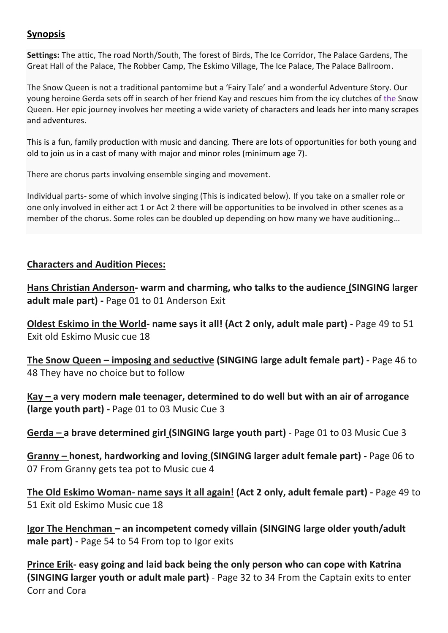### **Synopsis**

**Settings:** The attic, The road North/South, The forest of Birds, The Ice Corridor, The Palace Gardens, The Great Hall of the Palace, The Robber Camp, The Eskimo Village, The Ice Palace, The Palace Ballroom.

The Snow Queen is not a traditional pantomime but a 'Fairy Tale' and a wonderful Adventure Story. Our young heroine Gerda sets off in search of her friend Kay and rescues him from the icy clutches of the Snow Queen. Her epic journey involves her meeting a wide variety of characters and leads her into many scrapes and adventures.

This is a fun, family production with music and dancing. There are lots of opportunities for both young and old to join us in a cast of many with major and minor roles (minimum age 7).

There are chorus parts involving ensemble singing and movement.

Individual parts- some of which involve singing (This is indicated below). If you take on a smaller role or one only involved in either act 1 or Act 2 there will be opportunities to be involved in other scenes as a member of the chorus. Some roles can be doubled up depending on how many we have auditioning…

### **Characters and Audition Pieces:**

**Hans Christian Anderson- warm and charming, who talks to the audience (SINGING larger adult male part) -** Page 01 to 01 Anderson Exit

**Oldest Eskimo in the World- name says it all! (Act 2 only, adult male part) -** Page 49 to 51 Exit old Eskimo Music cue 18

**The Snow Queen – imposing and seductive (SINGING large adult female part) -** Page 46 to 48 They have no choice but to follow

**Kay – a very modern male teenager, determined to do well but with an air of arrogance (large youth part) -** Page 01 to 03 Music Cue 3

**Gerda – a brave determined girl (SINGING large youth part)** - Page 01 to 03 Music Cue 3

**Granny – honest, hardworking and loving (SINGING larger adult female part) -** Page 06 to 07 From Granny gets tea pot to Music cue 4

**The Old Eskimo Woman- name says it all again! (Act 2 only, adult female part) -** Page 49 to 51 Exit old Eskimo Music cue 18

**Igor The Henchman – an incompetent comedy villain (SINGING large older youth/adult male part) -** Page 54 to 54 From top to Igor exits

**Prince Erik- easy going and laid back being the only person who can cope with Katrina (SINGING larger youth or adult male part)** - Page 32 to 34 From the Captain exits to enter Corr and Cora